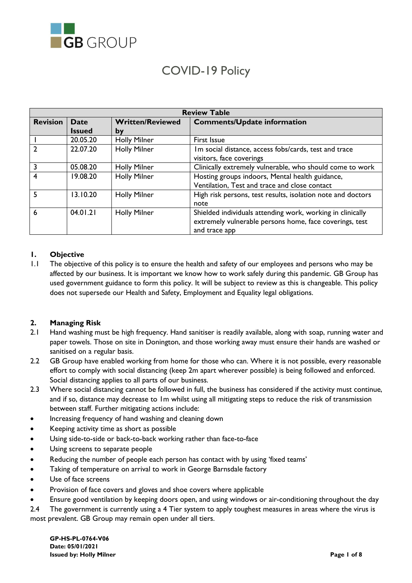

# COVID-19 Policy

| <b>Review Table</b> |               |                         |                                                             |
|---------------------|---------------|-------------------------|-------------------------------------------------------------|
| <b>Revision</b>     | <b>Date</b>   | <b>Written/Reviewed</b> | <b>Comments/Update information</b>                          |
|                     | <b>Issued</b> | by                      |                                                             |
|                     | 20.05.20      | <b>Holly Milner</b>     | First Issue                                                 |
|                     | 22.07.20      | <b>Holly Milner</b>     | Im social distance, access fobs/cards, test and trace       |
|                     |               |                         | visitors, face coverings                                    |
|                     | 05.08.20      | <b>Holly Milner</b>     | Clinically extremely vulnerable, who should come to work    |
| 4                   | 19.08.20      | <b>Holly Milner</b>     | Hosting groups indoors, Mental health guidance,             |
|                     |               |                         | Ventilation, Test and trace and close contact               |
|                     | 13.10.20      | <b>Holly Milner</b>     | High risk persons, test results, isolation note and doctors |
|                     |               |                         | note                                                        |
| 6                   | 04.01.21      | <b>Holly Milner</b>     | Shielded individuals attending work, working in clinically  |
|                     |               |                         | extremely vulnerable persons home, face coverings, test     |
|                     |               |                         | and trace app                                               |

## **1. Objective**

1.1 The objective of this policy is to ensure the health and safety of our employees and persons who may be affected by our business. It is important we know how to work safely during this pandemic. GB Group has used government guidance to form this policy. It will be subject to review as this is changeable. This policy does not supersede our Health and Safety, Employment and Equality legal obligations.

#### **2. Managing Risk**

- 2.1 Hand washing must be high frequency. Hand sanitiser is readily available, along with soap, running water and paper towels. Those on site in Donington, and those working away must ensure their hands are washed or sanitised on a regular basis.
- 2.2 GB Group have enabled working from home for those who can. Where it is not possible, every reasonable effort to comply with social distancing (keep 2m apart wherever possible) is being followed and enforced. Social distancing applies to all parts of our business.
- 2.3 Where social distancing cannot be followed in full, the business has considered if the activity must continue, and if so, distance may decrease to 1m whilst using all mitigating steps to reduce the risk of transmission between staff. Further mitigating actions include:
- Increasing frequency of hand washing and cleaning down
- Keeping activity time as short as possible
- Using side-to-side or back-to-back working rather than face-to-face
- Using screens to separate people
- Reducing the number of people each person has contact with by using 'fixed teams'
- Taking of temperature on arrival to work in George Barnsdale factory
- Use of face screens
- Provision of face covers and gloves and shoe covers where applicable
- Ensure good ventilation by keeping doors open, and using windows or air-conditioning throughout the day
- 2.4 The government is currently using a 4 Tier system to apply toughest measures in areas where the virus is most prevalent. GB Group may remain open under all tiers.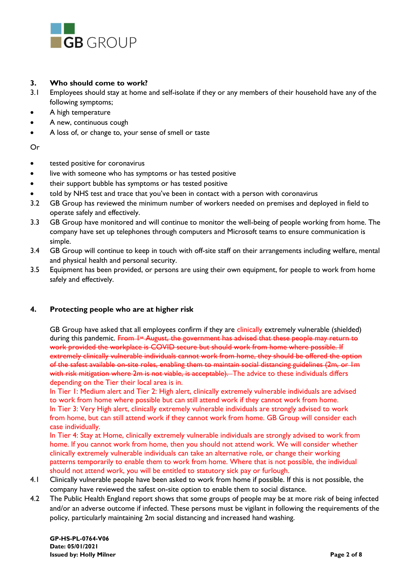

## **3. Who should come to work?**

- 3.1 Employees should stay at home and self-isolate if they or any members of their household have any of the following symptoms;
- A high temperature
- A new, continuous cough
- A loss of, or change to, your sense of smell or taste

Or

- tested positive for coronavirus
- live with someone who has symptoms or has tested positive
- their support bubble has symptoms or has tested positive
- told by NHS test and trace that you've been in contact with a person with coronavirus
- 3.2 GB Group has reviewed the minimum number of workers needed on premises and deployed in field to operate safely and effectively.
- 3.3 GB Group have monitored and will continue to monitor the well-being of people working from home. The company have set up telephones through computers and Microsoft teams to ensure communication is simple.
- 3.4 GB Group will continue to keep in touch with off-site staff on their arrangements including welfare, mental and physical health and personal security.
- 3.5 Equipment has been provided, or persons are using their own equipment, for people to work from home safely and effectively.

## **4. Protecting people who are at higher risk**

GB Group have asked that all employees confirm if they are clinically extremely vulnerable (shielded) during this pandemic. From 1<sup>st</sup> August, the government has advised that these people may return to work provided the workplace is COVID secure but should work from home where possible. If extremely clinically vulnerable individuals cannot work from home, they should be offered the option of the safest available on-site roles, enabling them to maintain social distancing guidelines (2m, or 1m with risk mitigation where 2m is not viable, is acceptable). The advice to these individuals differs depending on the Tier their local area is in.

In Tier 1: Medium alert and Tier 2: High alert, clinically extremely vulnerable individuals are advised to work from home where possible but can still attend work if they cannot work from home. In Tier 3: Very High alert, clinically extremely vulnerable individuals are strongly advised to work from home, but can still attend work if they cannot work from home. GB Group will consider each case individually.

In Tier 4: Stay at Home, clinically extremely vulnerable individuals are strongly advised to work from home. If you cannot work from home, then you should not attend work. We will consider whether clinically extremely vulnerable individuals can take an alternative role, or change their working patterns temporarily to enable them to work from home. Where that is not possible, the individual should not attend work, you will be entitled to statutory sick pay or furlough.

- 4.1 Clinically vulnerable people have been asked to work from home if possible. If this is not possible, the company have reviewed the safest on-site option to enable them to social distance.
- 4.2 The Public Health England report shows that some groups of people may be at more risk of being infected and/or an adverse outcome if infected. These persons must be vigilant in following the requirements of the policy, particularly maintaining 2m social distancing and increased hand washing.

**GP-HS-PL-0764-V06 Date: 05/01/2021 Issued by: Holly Milner Page 2 of 8**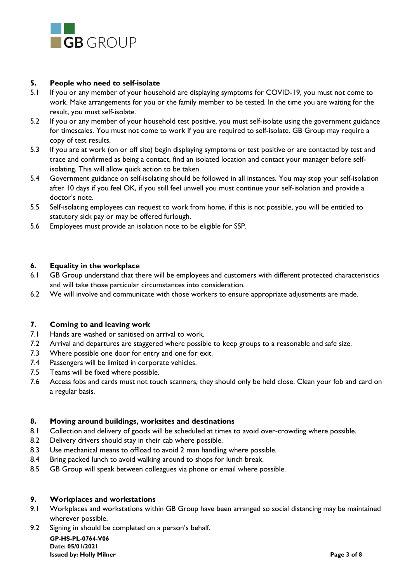

#### **5. People who need to self-isolate**

- 5.1 If you or any member of your household are displaying symptoms for COVID-19, you must not come to work. Make arrangements for you or the family member to be tested. In the time you are waiting for the result, you must self-isolate.
- 5.2 If you or any member of your household test positive, you must self-isolate using the government guidance for timescales. You must not come to work if you are required to self-isolate. GB Group may require a copy of test results.
- 5.3 If you are at work (on or off site) begin displaying symptoms or test positive or are contacted by test and trace and confirmed as being a contact, find an isolated location and contact your manager before selfisolating. This will allow quick action to be taken.
- 5.4 Government guidance on self-isolating should be followed in all instances. You may stop your self-isolation after 10 days if you feel OK, if you still feel unwell you must continue your self-isolation and provide a doctor's note.
- 5.5 Self-isolating employees can request to work from home, if this is not possible, you will be entitled to statutory sick pay or may be offered furlough.
- 5.6 Employees must provide an isolation note to be eligible for SSP.

## **6. Equality in the workplace**

- 6.1 GB Group understand that there will be employees and customers with different protected characteristics and will take those particular circumstances into consideration.
- 6.2 We will involve and communicate with those workers to ensure appropriate adjustments are made.

#### **7. Coming to and leaving work**

- 7.1 Hands are washed or sanitised on arrival to work.
- 7.2 Arrival and departures are staggered where possible to keep groups to a reasonable and safe size.
- 7.3 Where possible one door for entry and one for exit.
- 7.4 Passengers will be limited in corporate vehicles.
- 7.5 Teams will be fixed where possible.
- 7.6 Access fobs and cards must not touch scanners, they should only be held close. Clean your fob and card on a regular basis.

## **8. Moving around buildings, worksites and destinations**

- 8.1 Collection and delivery of goods will be scheduled at times to avoid over-crowding where possible.
- 8.2 Delivery drivers should stay in their cab where possible.
- 8.3 Use mechanical means to offload to avoid 2 man handling where possible.
- 8.4 Bring packed lunch to avoid walking around to shops for lunch break.
- 8.5 GB Group will speak between colleagues via phone or email where possible.

#### **9. Workplaces and workstations**

- 9.1 Workplaces and workstations within GB Group have been arranged so social distancing may be maintained wherever possible.
- 9.2 Signing in should be completed on a person's behalf.

**GP-HS-PL-0764-V06 Date: 05/01/2021 Issued by: Holly Milner Page 3 of 8**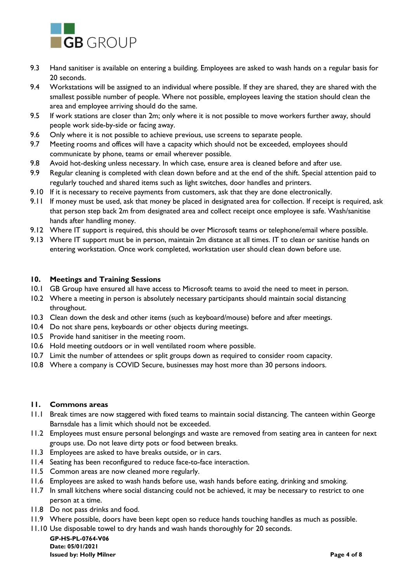

- 9.3 Hand sanitiser is available on entering a building. Employees are asked to wash hands on a regular basis for 20 seconds.
- 9.4 Workstations will be assigned to an individual where possible. If they are shared, they are shared with the smallest possible number of people. Where not possible, employees leaving the station should clean the area and employee arriving should do the same.
- 9.5 If work stations are closer than 2m; only where it is not possible to move workers further away, should people work side-by-side or facing away.
- 9.6 Only where it is not possible to achieve previous, use screens to separate people.
- 9.7 Meeting rooms and offices will have a capacity which should not be exceeded, employees should communicate by phone, teams or email wherever possible.
- 9.8 Avoid hot-desking unless necessary. In which case, ensure area is cleaned before and after use.
- 9.9 Regular cleaning is completed with clean down before and at the end of the shift. Special attention paid to regularly touched and shared items such as light switches, door handles and printers.
- 9.10 If it is necessary to receive payments from customers, ask that they are done electronically.
- 9.11 If money must be used, ask that money be placed in designated area for collection. If receipt is required, ask that person step back 2m from designated area and collect receipt once employee is safe. Wash/sanitise hands after handling money.
- 9.12 Where IT support is required, this should be over Microsoft teams or telephone/email where possible.
- 9.13 Where IT support must be in person, maintain 2m distance at all times. IT to clean or sanitise hands on entering workstation. Once work completed, workstation user should clean down before use.

## **10. Meetings and Training Sessions**

- 10.1 GB Group have ensured all have access to Microsoft teams to avoid the need to meet in person.
- 10.2 Where a meeting in person is absolutely necessary participants should maintain social distancing throughout.
- 10.3 Clean down the desk and other items (such as keyboard/mouse) before and after meetings.
- 10.4 Do not share pens, keyboards or other objects during meetings.
- 10.5 Provide hand sanitiser in the meeting room.
- 10.6 Hold meeting outdoors or in well ventilated room where possible.
- 10.7 Limit the number of attendees or split groups down as required to consider room capacity.
- 10.8 Where a company is COVID Secure, businesses may host more than 30 persons indoors.

#### **11. Commons areas**

- 11.1 Break times are now staggered with fixed teams to maintain social distancing. The canteen within George Barnsdale has a limit which should not be exceeded.
- 11.2 Employees must ensure personal belongings and waste are removed from seating area in canteen for next groups use. Do not leave dirty pots or food between breaks.
- 11.3 Employees are asked to have breaks outside, or in cars.
- 11.4 Seating has been reconfigured to reduce face-to-face interaction.
- 11.5 Common areas are now cleaned more regularly.
- 11.6 Employees are asked to wash hands before use, wash hands before eating, drinking and smoking.
- 11.7 In small kitchens where social distancing could not be achieved, it may be necessary to restrict to one person at a time.
- 11.8 Do not pass drinks and food.
- 11.9 Where possible, doors have been kept open so reduce hands touching handles as much as possible.
- 11.10 Use disposable towel to dry hands and wash hands thoroughly for 20 seconds.

**GP-HS-PL-0764-V06 Date: 05/01/2021 Issued by: Holly Milner Page 4 of 8**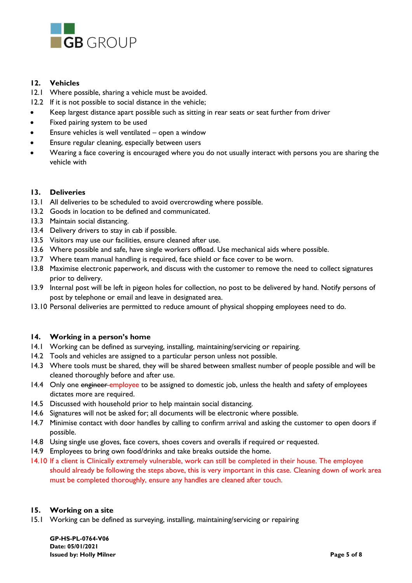

## **12. Vehicles**

- 12.1 Where possible, sharing a vehicle must be avoided.
- 12.2 If it is not possible to social distance in the vehicle;
- Keep largest distance apart possible such as sitting in rear seats or seat further from driver
- Fixed pairing system to be used
- Ensure vehicles is well ventilated open a window
- Ensure regular cleaning, especially between users
- Wearing a face covering is encouraged where you do not usually interact with persons you are sharing the vehicle with

#### **13. Deliveries**

- 13.1 All deliveries to be scheduled to avoid overcrowding where possible.
- 13.2 Goods in location to be defined and communicated.
- 13.3 Maintain social distancing.
- 13.4 Delivery drivers to stay in cab if possible.
- 13.5 Visitors may use our facilities, ensure cleaned after use.
- 13.6 Where possible and safe, have single workers offload. Use mechanical aids where possible.
- 13.7 Where team manual handling is required, face shield or face cover to be worn.
- 13.8 Maximise electronic paperwork, and discuss with the customer to remove the need to collect signatures prior to delivery.
- 13.9 Internal post will be left in pigeon holes for collection, no post to be delivered by hand. Notify persons of post by telephone or email and leave in designated area.
- 13.10 Personal deliveries are permitted to reduce amount of physical shopping employees need to do.

## **14. Working in a person's home**

- 14.1 Working can be defined as surveying, installing, maintaining/servicing or repairing.
- 14.2 Tools and vehicles are assigned to a particular person unless not possible.
- 14.3 Where tools must be shared, they will be shared between smallest number of people possible and will be cleaned thoroughly before and after use.
- 14.4 Only one engineer employee to be assigned to domestic job, unless the health and safety of employees dictates more are required.
- 14.5 Discussed with household prior to help maintain social distancing.
- 14.6 Signatures will not be asked for; all documents will be electronic where possible.
- 14.7 Minimise contact with door handles by calling to confirm arrival and asking the customer to open doors if possible.
- 14.8 Using single use gloves, face covers, shoes covers and overalls if required or requested.
- 14.9 Employees to bring own food/drinks and take breaks outside the home.
- 14.10 If a client is Clinically extremely vulnerable, work can still be completed in their house. The employee should already be following the steps above, this is very important in this case. Cleaning down of work area must be completed thoroughly, ensure any handles are cleaned after touch.

#### **15. Working on a site**

15.1 Working can be defined as surveying, installing, maintaining/servicing or repairing

**GP-HS-PL-0764-V06 Date: 05/01/2021 Issued by: Holly Milner Page 5 of 8**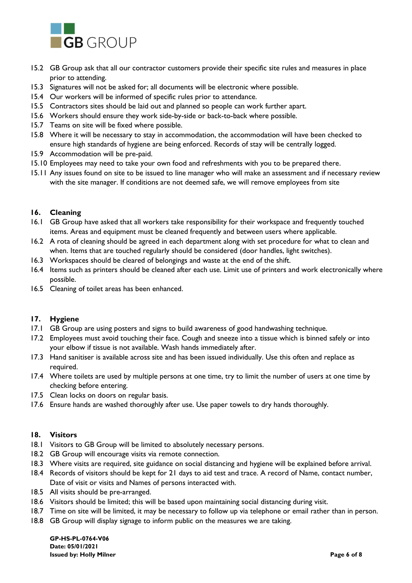

- 15.2 GB Group ask that all our contractor customers provide their specific site rules and measures in place prior to attending.
- 15.3 Signatures will not be asked for; all documents will be electronic where possible.
- 15.4 Our workers will be informed of specific rules prior to attendance.
- 15.5 Contractors sites should be laid out and planned so people can work further apart.
- 15.6 Workers should ensure they work side-by-side or back-to-back where possible.
- 15.7 Teams on site will be fixed where possible.
- 15.8 Where it will be necessary to stay in accommodation, the accommodation will have been checked to ensure high standards of hygiene are being enforced. Records of stay will be centrally logged.
- 15.9 Accommodation will be pre-paid.
- 15.10 Employees may need to take your own food and refreshments with you to be prepared there.
- 15.11 Any issues found on site to be issued to line manager who will make an assessment and if necessary review with the site manager. If conditions are not deemed safe, we will remove employees from site

## **16. Cleaning**

- 16.1 GB Group have asked that all workers take responsibility for their workspace and frequently touched items. Areas and equipment must be cleaned frequently and between users where applicable.
- 16.2 A rota of cleaning should be agreed in each department along with set procedure for what to clean and when. Items that are touched regularly should be considered (door handles, light switches).
- 16.3 Workspaces should be cleared of belongings and waste at the end of the shift.
- 16.4 Items such as printers should be cleaned after each use. Limit use of printers and work electronically where possible.
- 16.5 Cleaning of toilet areas has been enhanced.

## **17. Hygiene**

- 17.1 GB Group are using posters and signs to build awareness of good handwashing technique.
- 17.2 Employees must avoid touching their face. Cough and sneeze into a tissue which is binned safely or into your elbow if tissue is not available. Wash hands immediately after.
- 17.3 Hand sanitiser is available across site and has been issued individually. Use this often and replace as required.
- 17.4 Where toilets are used by multiple persons at one time, try to limit the number of users at one time by checking before entering.
- 17.5 Clean locks on doors on regular basis.
- 17.6 Ensure hands are washed thoroughly after use. Use paper towels to dry hands thoroughly.

#### **18. Visitors**

- 18.1 Visitors to GB Group will be limited to absolutely necessary persons.
- 18.2 GB Group will encourage visits via remote connection.
- 18.3 Where visits are required, site guidance on social distancing and hygiene will be explained before arrival.
- 18.4 Records of visitors should be kept for 21 days to aid test and trace. A record of Name, contact number, Date of visit or visits and Names of persons interacted with.
- 18.5 All visits should be pre-arranged.
- 18.6 Visitors should be limited; this will be based upon maintaining social distancing during visit.
- 18.7 Time on site will be limited, it may be necessary to follow up via telephone or email rather than in person.
- 18.8 GB Group will display signage to inform public on the measures we are taking.

**GP-HS-PL-0764-V06 Date: 05/01/2021 Issued by: Holly Milner Page 6 of 8**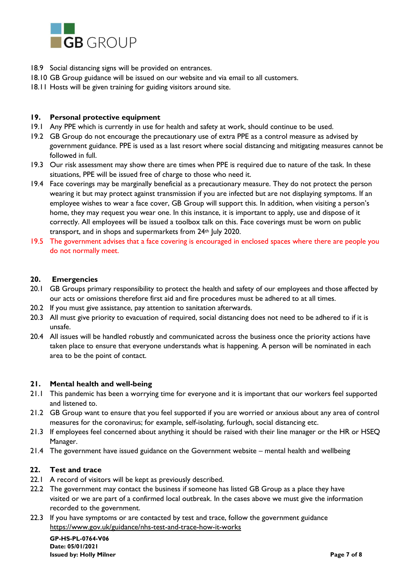

- 18.9 Social distancing signs will be provided on entrances.
- 18.10 GB Group guidance will be issued on our website and via email to all customers.
- 18.11 Hosts will be given training for guiding visitors around site.

#### **19. Personal protective equipment**

- 19.1 Any PPE which is currently in use for health and safety at work, should continue to be used.
- 19.2 GB Group do not encourage the precautionary use of extra PPE as a control measure as advised by government guidance. PPE is used as a last resort where social distancing and mitigating measures cannot be followed in full.
- 19.3 Our risk assessment may show there are times when PPE is required due to nature of the task. In these situations, PPE will be issued free of charge to those who need it.
- 19.4 Face coverings may be marginally beneficial as a precautionary measure. They do not protect the person wearing it but may protect against transmission if you are infected but are not displaying symptoms. If an employee wishes to wear a face cover, GB Group will support this. In addition, when visiting a person's home, they may request you wear one. In this instance, it is important to apply, use and dispose of it correctly. All employees will be issued a toolbox talk on this. Face coverings must be worn on public transport, and in shops and supermarkets from 24th July 2020.
- 19.5 The government advises that a face covering is encouraged in enclosed spaces where there are people you do not normally meet.

## **20. Emergencies**

- 20.1 GB Groups primary responsibility to protect the health and safety of our employees and those affected by our acts or omissions therefore first aid and fire procedures must be adhered to at all times.
- 20.2 If you must give assistance, pay attention to sanitation afterwards.
- 20.3 All must give priority to evacuation of required, social distancing does not need to be adhered to if it is unsafe.
- 20.4 All issues will be handled robustly and communicated across the business once the priority actions have taken place to ensure that everyone understands what is happening. A person will be nominated in each area to be the point of contact.

## **21. Mental health and well-being**

- 21.1 This pandemic has been a worrying time for everyone and it is important that our workers feel supported and listened to.
- 21.2 GB Group want to ensure that you feel supported if you are worried or anxious about any area of control measures for the coronavirus; for example, self-isolating, furlough, social distancing etc.
- 21.3 If employees feel concerned about anything it should be raised with their line manager or the HR or HSEQ Manager.
- 21.4 The government have issued guidance on the Government website mental health and wellbeing

## **22. Test and trace**

- 22.1 A record of visitors will be kept as previously described.
- 22.2 The government may contact the business if someone has listed GB Group as a place they have visited or we are part of a confirmed local outbreak. In the cases above we must give the information recorded to the government.
- 22.3 If you have symptoms or are contacted by test and trace, follow the government guidance <https://www.gov.uk/guidance/nhs-test-and-trace-how-it-works>

**GP-HS-PL-0764-V06 Date: 05/01/2021 Issued by: Holly Milner Page 7 of 8**